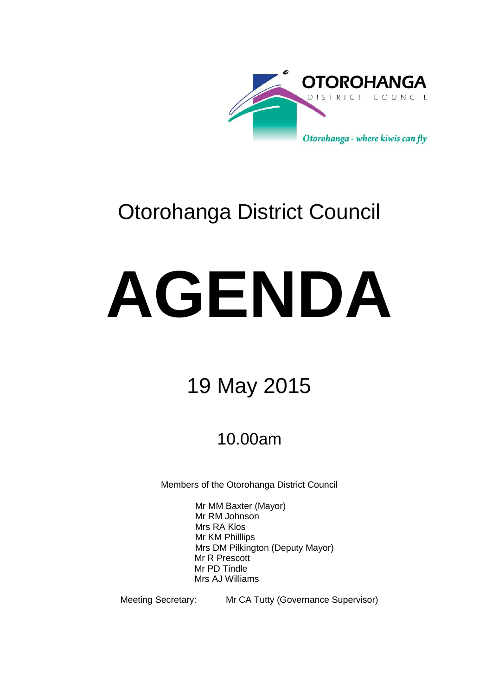

# Otorohanga District Council

# **AGENDA**

# 19 May 2015

# 10.00am

Members of the Otorohanga District Council

Mr MM Baxter (Mayor) Mr RM Johnson Mrs RA Klos Mr KM Philllips Mrs DM Pilkington (Deputy Mayor) Mr R Prescott Mr PD Tindle Mrs AJ Williams

Meeting Secretary: Mr CA Tutty (Governance Supervisor)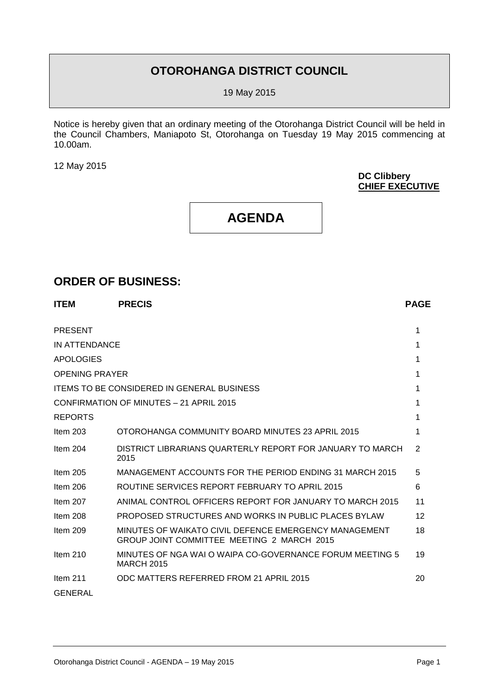## **OTOROHANGA DISTRICT COUNCIL**

19 May 2015

Notice is hereby given that an ordinary meeting of the Otorohanga District Council will be held in the Council Chambers, Maniapoto St, Otorohanga on Tuesday 19 May 2015 commencing at 10.00am.

12 May 2015

**DC Clibbery CHIEF EXECUTIVE**

# **AGENDA**

#### **ORDER OF BUSINESS:**

| <b>ITEM</b>           | <b>PRECIS</b>                                                                                       | <b>PAGE</b> |
|-----------------------|-----------------------------------------------------------------------------------------------------|-------------|
| <b>PRESENT</b>        |                                                                                                     | 1           |
| IN ATTENDANCE         |                                                                                                     | 1           |
| <b>APOLOGIES</b>      |                                                                                                     | 1           |
| <b>OPENING PRAYER</b> |                                                                                                     | 1           |
|                       | <b>ITEMS TO BE CONSIDERED IN GENERAL BUSINESS</b>                                                   | 1           |
|                       | CONFIRMATION OF MINUTES - 21 APRIL 2015                                                             | 1           |
| <b>REPORTS</b>        |                                                                                                     | 1           |
| Item $203$            | OTOROHANGA COMMUNITY BOARD MINUTES 23 APRIL 2015                                                    | 1           |
| Item $204$            | DISTRICT LIBRARIANS QUARTERLY REPORT FOR JANUARY TO MARCH<br>2015                                   | 2           |
| Item $205$            | MANAGEMENT ACCOUNTS FOR THE PERIOD ENDING 31 MARCH 2015                                             | 5           |
| Item $206$            | ROUTINE SERVICES REPORT FEBRUARY TO APRIL 2015                                                      | 6           |
| Item $207$            | ANIMAL CONTROL OFFICERS REPORT FOR JANUARY TO MARCH 2015                                            | 11          |
| Item $208$            | <b>PROPOSED STRUCTURES AND WORKS IN PUBLIC PLACES BYLAW</b>                                         | 12          |
| Item $209$            | MINUTES OF WAIKATO CIVIL DEFENCE EMERGENCY MANAGEMENT<br>GROUP JOINT COMMITTEE MEETING 2 MARCH 2015 | 18          |
| Item $210$            | MINUTES OF NGA WAI O WAIPA CO-GOVERNANCE FORUM MEETING 5<br><b>MARCH 2015</b>                       | 19          |
| Item $211$            | ODC MATTERS REFERRED FROM 21 APRIL 2015                                                             | 20          |
| <b>GENERAL</b>        |                                                                                                     |             |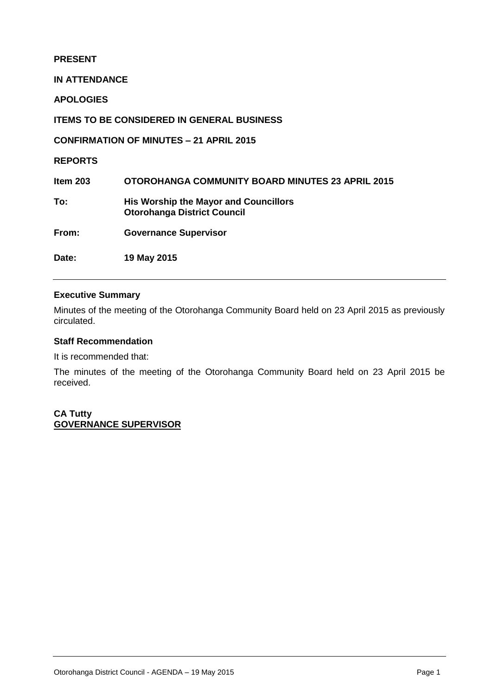#### **PRESENT**

**IN ATTENDANCE**

**APOLOGIES**

**ITEMS TO BE CONSIDERED IN GENERAL BUSINESS**

**CONFIRMATION OF MINUTES – 21 APRIL 2015**

**REPORTS**

**Item 203 OTOROHANGA COMMUNITY BOARD MINUTES 23 APRIL 2015 To: His Worship the Mayor and Councillors Otorohanga District Council From: Governance Supervisor**

**Date: 19 May 2015** 

#### **Executive Summary**

Minutes of the meeting of the Otorohanga Community Board held on 23 April 2015 as previously circulated.

#### **Staff Recommendation**

It is recommended that:

The minutes of the meeting of the Otorohanga Community Board held on 23 April 2015 be received.

**CA Tutty GOVERNANCE SUPERVISOR**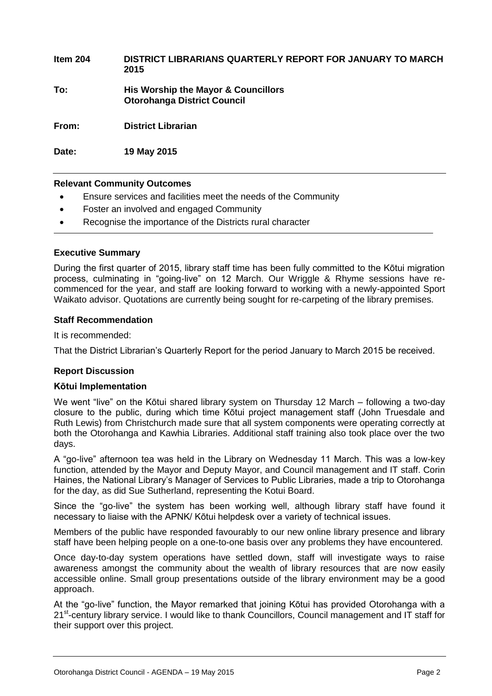**Item 204 DISTRICT LIBRARIANS QUARTERLY REPORT FOR JANUARY TO MARCH 2015 To: His Worship the Mayor & Councillors Otorohanga District Council From: District Librarian** 

**Date: 19 May 2015**

#### **Relevant Community Outcomes**

- Ensure services and facilities meet the needs of the Community
- Foster an involved and engaged Community
- Recognise the importance of the Districts rural character

#### **Executive Summary**

During the first quarter of 2015, library staff time has been fully committed to the Kōtui migration process, culminating in "going-live" on 12 March. Our Wriggle & Rhyme sessions have recommenced for the year, and staff are looking forward to working with a newly-appointed Sport Waikato advisor. Quotations are currently being sought for re-carpeting of the library premises.

#### **Staff Recommendation**

It is recommended:

That the District Librarian's Quarterly Report for the period January to March 2015 be received.

#### **Report Discussion**

#### **Kōtui Implementation**

We went "live" on the Kōtui shared library system on Thursday 12 March – following a two-day closure to the public, during which time Kōtui project management staff (John Truesdale and Ruth Lewis) from Christchurch made sure that all system components were operating correctly at both the Otorohanga and Kawhia Libraries. Additional staff training also took place over the two days.

A "go-live" afternoon tea was held in the Library on Wednesday 11 March. This was a low-key function, attended by the Mayor and Deputy Mayor, and Council management and IT staff. Corin Haines, the National Library's Manager of Services to Public Libraries, made a trip to Otorohanga for the day, as did Sue Sutherland, representing the Kotui Board.

Since the "go-live" the system has been working well, although library staff have found it necessary to liaise with the APNK/ Kōtui helpdesk over a variety of technical issues.

Members of the public have responded favourably to our new online library presence and library staff have been helping people on a one-to-one basis over any problems they have encountered.

Once day-to-day system operations have settled down, staff will investigate ways to raise awareness amongst the community about the wealth of library resources that are now easily accessible online. Small group presentations outside of the library environment may be a good approach.

At the "go-live" function, the Mayor remarked that joining Kōtui has provided Otorohanga with a 21<sup>st</sup>-century library service. I would like to thank Councillors, Council management and IT staff for their support over this project.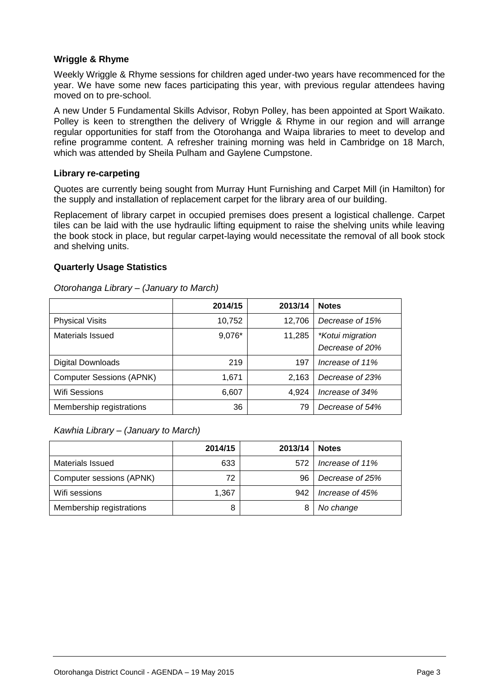#### **Wriggle & Rhyme**

Weekly Wriggle & Rhyme sessions for children aged under-two years have recommenced for the year. We have some new faces participating this year, with previous regular attendees having moved on to pre-school.

A new Under 5 Fundamental Skills Advisor, Robyn Polley, has been appointed at Sport Waikato. Polley is keen to strengthen the delivery of Wriggle & Rhyme in our region and will arrange regular opportunities for staff from the Otorohanga and Waipa libraries to meet to develop and refine programme content. A refresher training morning was held in Cambridge on 18 March, which was attended by Sheila Pulham and Gaylene Cumpstone.

#### **Library re-carpeting**

Quotes are currently being sought from Murray Hunt Furnishing and Carpet Mill (in Hamilton) for the supply and installation of replacement carpet for the library area of our building.

Replacement of library carpet in occupied premises does present a logistical challenge. Carpet tiles can be laid with the use hydraulic lifting equipment to raise the shelving units while leaving the book stock in place, but regular carpet-laying would necessitate the removal of all book stock and shelving units.

#### **Quarterly Usage Statistics**

|                                 | 2014/15 | 2013/14 | <b>Notes</b>                               |
|---------------------------------|---------|---------|--------------------------------------------|
| <b>Physical Visits</b>          | 10,752  | 12,706  | Decrease of 15%                            |
| <b>Materials Issued</b>         | 9,076*  | 11,285  | <i>*Kotui migration</i><br>Decrease of 20% |
| <b>Digital Downloads</b>        | 219     | 197     | Increase of 11%                            |
| <b>Computer Sessions (APNK)</b> | 1,671   | 2,163   | Decrease of 23%                            |
| <b>Wifi Sessions</b>            | 6,607   | 4.924   | Increase of 34%                            |
| Membership registrations        | 36      | 79      | Decrease of 54%                            |

#### *Otorohanga Library – (January to March)*

*Kawhia Library – (January to March)*

|                          | 2014/15 | 2013/14 | <b>Notes</b>    |
|--------------------------|---------|---------|-----------------|
| Materials Issued         | 633     | 572     | Increase of 11% |
| Computer sessions (APNK) | 72      | 96      | Decrease of 25% |
| Wifi sessions            | 1.367   | 942     | Increase of 45% |
| Membership registrations |         |         | No change       |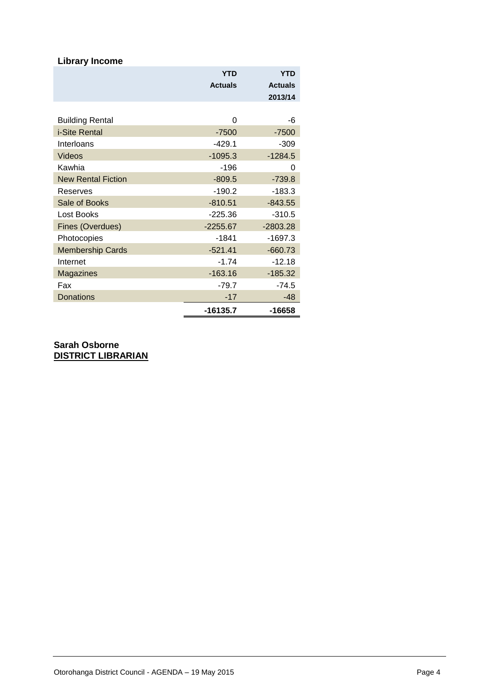| <b>Library Income</b>     |                |                |
|---------------------------|----------------|----------------|
|                           | <b>YTD</b>     | <b>YTD</b>     |
|                           | <b>Actuals</b> | <b>Actuals</b> |
|                           |                | 2013/14        |
|                           |                |                |
| <b>Building Rental</b>    | 0              | -6             |
| i-Site Rental             | $-7500$        | $-7500$        |
| Interloans                | $-429.1$       | $-309$         |
| <b>Videos</b>             | $-1095.3$      | $-1284.5$      |
| Kawhia                    | $-196$         | 0              |
| <b>New Rental Fiction</b> | $-809.5$       | $-739.8$       |
| Reserves                  | $-190.2$       | $-183.3$       |
| Sale of Books             | $-810.51$      | $-843.55$      |
| Lost Books                | $-225.36$      | $-310.5$       |
| Fines (Overdues)          | $-2255.67$     | $-2803.28$     |
| Photocopies               | $-1841$        | $-1697.3$      |
| <b>Membership Cards</b>   | $-521.41$      | $-660.73$      |
| Internet                  | $-1.74$        | $-12.18$       |
| <b>Magazines</b>          | $-163.16$      | $-185.32$      |
| Fax                       | $-79.7$        | $-74.5$        |
| Donations                 | $-17$          | -48            |
|                           | $-16135.7$     | -16658         |

**Sarah Osborne DISTRICT LIBRARIAN**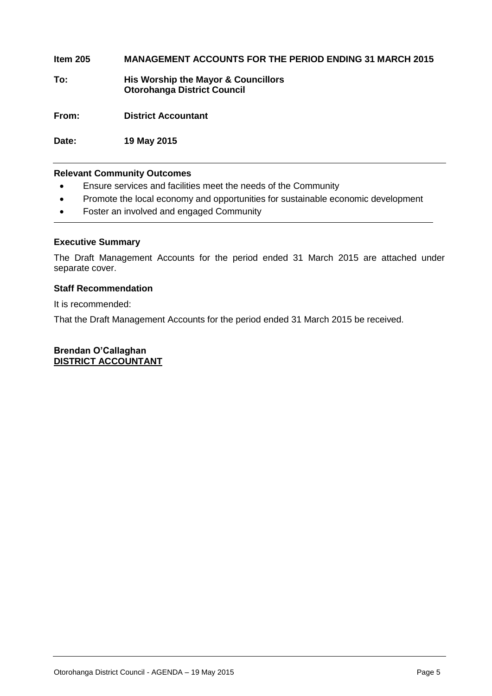#### **Item 205 MANAGEMENT ACCOUNTS FOR THE PERIOD ENDING 31 MARCH 2015**

**To: His Worship the Mayor & Councillors Otorohanga District Council**

**From: District Accountant**

**Date: 19 May 2015**

#### **Relevant Community Outcomes**

- Ensure services and facilities meet the needs of the Community
- Promote the local economy and opportunities for sustainable economic development
- Foster an involved and engaged Community

#### **Executive Summary**

The Draft Management Accounts for the period ended 31 March 2015 are attached under separate cover.

#### **Staff Recommendation**

It is recommended:

That the Draft Management Accounts for the period ended 31 March 2015 be received.

#### **Brendan O'Callaghan DISTRICT ACCOUNTANT**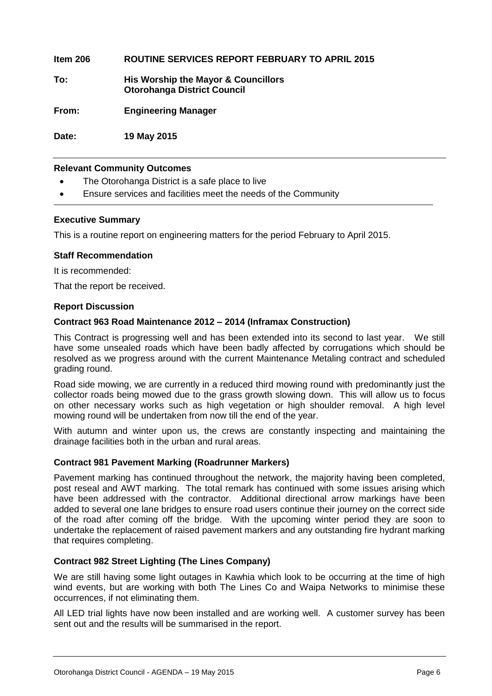#### **Item 206 ROUTINE SERVICES REPORT FEBRUARY TO APRIL 2015**

**To: His Worship the Mayor & Councillors Otorohanga District Council**

**From: Engineering Manager**

**Date: 19 May 2015**

#### **Relevant Community Outcomes**

- The Otorohanga District is a safe place to live
- Ensure services and facilities meet the needs of the Community

#### **Executive Summary**

This is a routine report on engineering matters for the period February to April 2015.

#### **Staff Recommendation**

It is recommended:

That the report be received.

#### **Report Discussion**

#### **Contract 963 Road Maintenance 2012 – 2014 (Inframax Construction)**

This Contract is progressing well and has been extended into its second to last year. We still have some unsealed roads which have been badly affected by corrugations which should be resolved as we progress around with the current Maintenance Metaling contract and scheduled grading round.

Road side mowing, we are currently in a reduced third mowing round with predominantly just the collector roads being mowed due to the grass growth slowing down. This will allow us to focus on other necessary works such as high vegetation or high shoulder removal. A high level mowing round will be undertaken from now till the end of the year.

With autumn and winter upon us, the crews are constantly inspecting and maintaining the drainage facilities both in the urban and rural areas.

#### **Contract 981 Pavement Marking (Roadrunner Markers)**

Pavement marking has continued throughout the network, the majority having been completed, post reseal and AWT marking. The total remark has continued with some issues arising which have been addressed with the contractor. Additional directional arrow markings have been added to several one lane bridges to ensure road users continue their journey on the correct side of the road after coming off the bridge. With the upcoming winter period they are soon to undertake the replacement of raised pavement markers and any outstanding fire hydrant marking that requires completing.

#### **Contract 982 Street Lighting (The Lines Company)**

We are still having some light outages in Kawhia which look to be occurring at the time of high wind events, but are working with both The Lines Co and Waipa Networks to minimise these occurrences, if not eliminating them.

All LED trial lights have now been installed and are working well. A customer survey has been sent out and the results will be summarised in the report.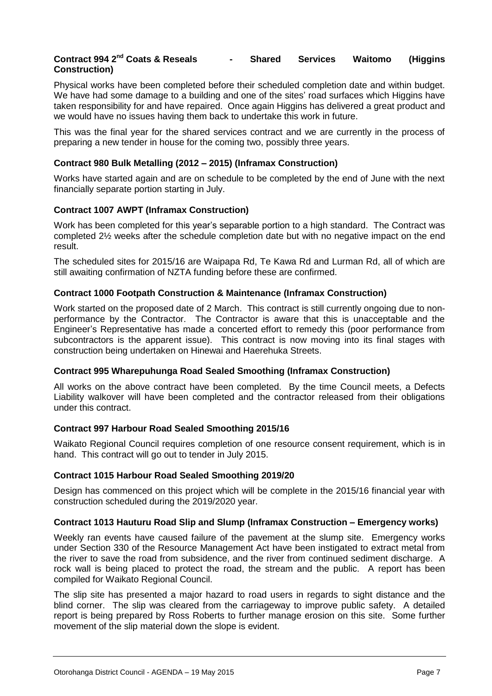#### **Contract 994 2nd Coats & Reseals - Shared Services Waitomo (Higgins Construction)**

Physical works have been completed before their scheduled completion date and within budget. We have had some damage to a building and one of the sites' road surfaces which Higgins have taken responsibility for and have repaired. Once again Higgins has delivered a great product and we would have no issues having them back to undertake this work in future.

This was the final year for the shared services contract and we are currently in the process of preparing a new tender in house for the coming two, possibly three years.

#### **Contract 980 Bulk Metalling (2012 – 2015) (Inframax Construction)**

Works have started again and are on schedule to be completed by the end of June with the next financially separate portion starting in July.

#### **Contract 1007 AWPT (Inframax Construction)**

Work has been completed for this year's separable portion to a high standard. The Contract was completed 2½ weeks after the schedule completion date but with no negative impact on the end result.

The scheduled sites for 2015/16 are Waipapa Rd, Te Kawa Rd and Lurman Rd, all of which are still awaiting confirmation of NZTA funding before these are confirmed.

#### **Contract 1000 Footpath Construction & Maintenance (Inframax Construction)**

Work started on the proposed date of 2 March. This contract is still currently ongoing due to nonperformance by the Contractor. The Contractor is aware that this is unacceptable and the Engineer's Representative has made a concerted effort to remedy this (poor performance from subcontractors is the apparent issue). This contract is now moving into its final stages with construction being undertaken on Hinewai and Haerehuka Streets.

#### **Contract 995 Wharepuhunga Road Sealed Smoothing (Inframax Construction)**

All works on the above contract have been completed. By the time Council meets, a Defects Liability walkover will have been completed and the contractor released from their obligations under this contract.

#### **Contract 997 Harbour Road Sealed Smoothing 2015/16**

Waikato Regional Council requires completion of one resource consent requirement, which is in hand. This contract will go out to tender in July 2015.

#### **Contract 1015 Harbour Road Sealed Smoothing 2019/20**

Design has commenced on this project which will be complete in the 2015/16 financial year with construction scheduled during the 2019/2020 year.

#### **Contract 1013 Hauturu Road Slip and Slump (Inframax Construction – Emergency works)**

Weekly ran events have caused failure of the pavement at the slump site. Emergency works under Section 330 of the Resource Management Act have been instigated to extract metal from the river to save the road from subsidence, and the river from continued sediment discharge. A rock wall is being placed to protect the road, the stream and the public. A report has been compiled for Waikato Regional Council.

The slip site has presented a major hazard to road users in regards to sight distance and the blind corner. The slip was cleared from the carriageway to improve public safety. A detailed report is being prepared by Ross Roberts to further manage erosion on this site. Some further movement of the slip material down the slope is evident.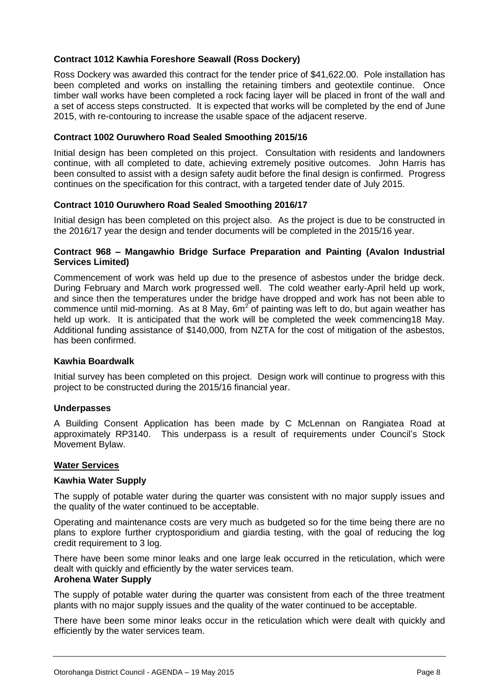#### **Contract 1012 Kawhia Foreshore Seawall (Ross Dockery)**

Ross Dockery was awarded this contract for the tender price of \$41,622.00. Pole installation has been completed and works on installing the retaining timbers and geotextile continue. Once timber wall works have been completed a rock facing layer will be placed in front of the wall and a set of access steps constructed. It is expected that works will be completed by the end of June 2015, with re-contouring to increase the usable space of the adjacent reserve.

#### **Contract 1002 Ouruwhero Road Sealed Smoothing 2015/16**

Initial design has been completed on this project. Consultation with residents and landowners continue, with all completed to date, achieving extremely positive outcomes. John Harris has been consulted to assist with a design safety audit before the final design is confirmed. Progress continues on the specification for this contract, with a targeted tender date of July 2015.

#### **Contract 1010 Ouruwhero Road Sealed Smoothing 2016/17**

Initial design has been completed on this project also. As the project is due to be constructed in the 2016/17 year the design and tender documents will be completed in the 2015/16 year.

#### **Contract 968 – Mangawhio Bridge Surface Preparation and Painting (Avalon Industrial Services Limited)**

Commencement of work was held up due to the presence of asbestos under the bridge deck. During February and March work progressed well. The cold weather early-April held up work, and since then the temperatures under the bridge have dropped and work has not been able to commence until mid-morning. As at 8 May,  $6m^2$  of painting was left to do, but again weather has held up work. It is anticipated that the work will be completed the week commencing18 May. Additional funding assistance of \$140,000, from NZTA for the cost of mitigation of the asbestos, has been confirmed.

#### **Kawhia Boardwalk**

Initial survey has been completed on this project. Design work will continue to progress with this project to be constructed during the 2015/16 financial year.

#### **Underpasses**

A Building Consent Application has been made by C McLennan on Rangiatea Road at approximately RP3140. This underpass is a result of requirements under Council's Stock Movement Bylaw.

#### **Water Services**

#### **Kawhia Water Supply**

The supply of potable water during the quarter was consistent with no major supply issues and the quality of the water continued to be acceptable.

Operating and maintenance costs are very much as budgeted so for the time being there are no plans to explore further cryptosporidium and giardia testing, with the goal of reducing the log credit requirement to 3 log.

There have been some minor leaks and one large leak occurred in the reticulation, which were dealt with quickly and efficiently by the water services team.

#### **Arohena Water Supply**

The supply of potable water during the quarter was consistent from each of the three treatment plants with no major supply issues and the quality of the water continued to be acceptable.

There have been some minor leaks occur in the reticulation which were dealt with quickly and efficiently by the water services team.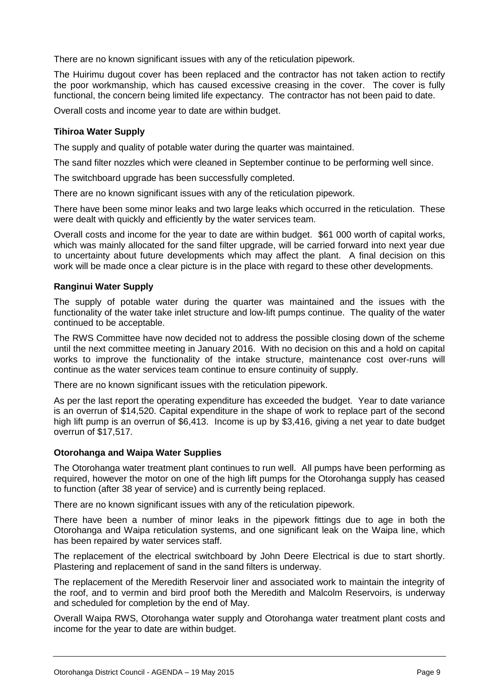There are no known significant issues with any of the reticulation pipework.

The Huirimu dugout cover has been replaced and the contractor has not taken action to rectify the poor workmanship, which has caused excessive creasing in the cover. The cover is fully functional, the concern being limited life expectancy. The contractor has not been paid to date.

Overall costs and income year to date are within budget.

#### **Tihiroa Water Supply**

The supply and quality of potable water during the quarter was maintained.

The sand filter nozzles which were cleaned in September continue to be performing well since.

The switchboard upgrade has been successfully completed.

There are no known significant issues with any of the reticulation pipework.

There have been some minor leaks and two large leaks which occurred in the reticulation. These were dealt with quickly and efficiently by the water services team.

Overall costs and income for the year to date are within budget. \$61 000 worth of capital works, which was mainly allocated for the sand filter upgrade, will be carried forward into next year due to uncertainty about future developments which may affect the plant. A final decision on this work will be made once a clear picture is in the place with regard to these other developments.

#### **Ranginui Water Supply**

The supply of potable water during the quarter was maintained and the issues with the functionality of the water take inlet structure and low-lift pumps continue. The quality of the water continued to be acceptable.

The RWS Committee have now decided not to address the possible closing down of the scheme until the next committee meeting in January 2016. With no decision on this and a hold on capital works to improve the functionality of the intake structure, maintenance cost over-runs will continue as the water services team continue to ensure continuity of supply.

There are no known significant issues with the reticulation pipework.

As per the last report the operating expenditure has exceeded the budget. Year to date variance is an overrun of \$14,520. Capital expenditure in the shape of work to replace part of the second high lift pump is an overrun of \$6,413. Income is up by \$3,416, giving a net year to date budget overrun of \$17,517.

#### **Otorohanga and Waipa Water Supplies**

The Otorohanga water treatment plant continues to run well. All pumps have been performing as required, however the motor on one of the high lift pumps for the Otorohanga supply has ceased to function (after 38 year of service) and is currently being replaced.

There are no known significant issues with any of the reticulation pipework.

There have been a number of minor leaks in the pipework fittings due to age in both the Otorohanga and Waipa reticulation systems, and one significant leak on the Waipa line, which has been repaired by water services staff.

The replacement of the electrical switchboard by John Deere Electrical is due to start shortly. Plastering and replacement of sand in the sand filters is underway.

The replacement of the Meredith Reservoir liner and associated work to maintain the integrity of the roof, and to vermin and bird proof both the Meredith and Malcolm Reservoirs, is underway and scheduled for completion by the end of May.

Overall Waipa RWS, Otorohanga water supply and Otorohanga water treatment plant costs and income for the year to date are within budget.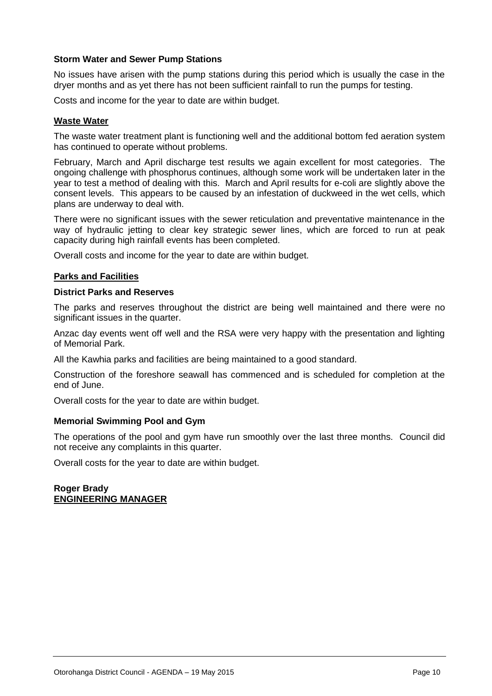#### **Storm Water and Sewer Pump Stations**

No issues have arisen with the pump stations during this period which is usually the case in the dryer months and as yet there has not been sufficient rainfall to run the pumps for testing.

Costs and income for the year to date are within budget.

#### **Waste Water**

The waste water treatment plant is functioning well and the additional bottom fed aeration system has continued to operate without problems.

February, March and April discharge test results we again excellent for most categories. The ongoing challenge with phosphorus continues, although some work will be undertaken later in the year to test a method of dealing with this. March and April results for e-coli are slightly above the consent levels. This appears to be caused by an infestation of duckweed in the wet cells, which plans are underway to deal with.

There were no significant issues with the sewer reticulation and preventative maintenance in the way of hydraulic jetting to clear key strategic sewer lines, which are forced to run at peak capacity during high rainfall events has been completed.

Overall costs and income for the year to date are within budget.

#### **Parks and Facilities**

#### **District Parks and Reserves**

The parks and reserves throughout the district are being well maintained and there were no significant issues in the quarter.

Anzac day events went off well and the RSA were very happy with the presentation and lighting of Memorial Park.

All the Kawhia parks and facilities are being maintained to a good standard.

Construction of the foreshore seawall has commenced and is scheduled for completion at the end of June.

Overall costs for the year to date are within budget.

#### **Memorial Swimming Pool and Gym**

The operations of the pool and gym have run smoothly over the last three months. Council did not receive any complaints in this quarter.

Overall costs for the year to date are within budget.

**Roger Brady ENGINEERING MANAGER**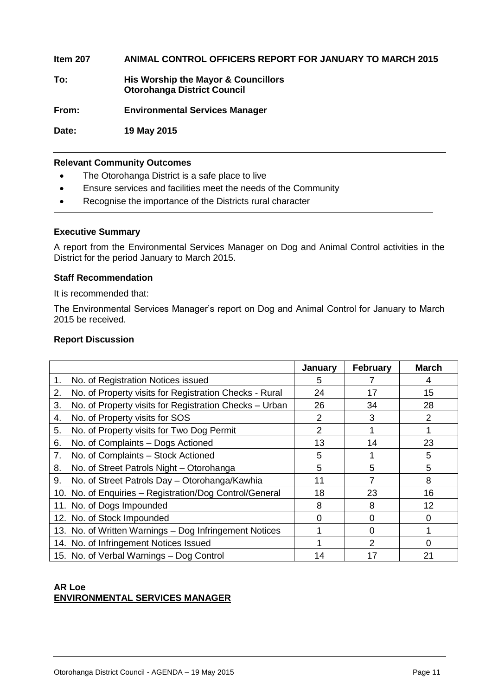**Item 207 ANIMAL CONTROL OFFICERS REPORT FOR JANUARY TO MARCH 2015 To: His Worship the Mayor & Councillors Otorohanga District Council From: Environmental Services Manager Date: 19 May 2015**

#### **Relevant Community Outcomes**

- The Otorohanga District is a safe place to live
- Ensure services and facilities meet the needs of the Community
- Recognise the importance of the Districts rural character

#### **Executive Summary**

A report from the Environmental Services Manager on Dog and Animal Control activities in the District for the period January to March 2015.

#### **Staff Recommendation**

It is recommended that:

The Environmental Services Manager's report on Dog and Animal Control for January to March 2015 be received.

#### **Report Discussion**

|                                                              | January | <b>February</b> | <b>March</b> |
|--------------------------------------------------------------|---------|-----------------|--------------|
| No. of Registration Notices issued<br>1.                     | 5       |                 | 4            |
| 2.<br>No. of Property visits for Registration Checks - Rural | 24      | 17              | 15           |
| No. of Property visits for Registration Checks - Urban<br>3. | 26      | 34              | 28           |
| No. of Property visits for SOS<br>4.                         | 2       | 3               | 2            |
| No. of Property visits for Two Dog Permit<br>5.              | 2       |                 |              |
| No. of Complaints - Dogs Actioned<br>6.                      | 13      | 14              | 23           |
| No. of Complaints - Stock Actioned<br>7.                     | 5       |                 | 5            |
| No. of Street Patrols Night - Otorohanga<br>8.               | 5       | 5               | 5            |
| No. of Street Patrols Day - Otorohanga/Kawhia<br>9.          | 11      | 7               | 8            |
| 10. No. of Enquiries - Registration/Dog Control/General      | 18      | 23              | 16           |
| 11. No. of Dogs Impounded                                    | 8       | 8               | 12           |
| 12. No. of Stock Impounded                                   | O       | <sup>0</sup>    | O            |
| 13. No. of Written Warnings - Dog Infringement Notices       |         | $\Omega$        |              |
| 14. No. of Infringement Notices Issued                       |         | $\mathcal{P}$   | O            |
| 15. No. of Verbal Warnings - Dog Control                     | 14      | 17              | 21           |

#### **AR Loe ENVIRONMENTAL SERVICES MANAGER**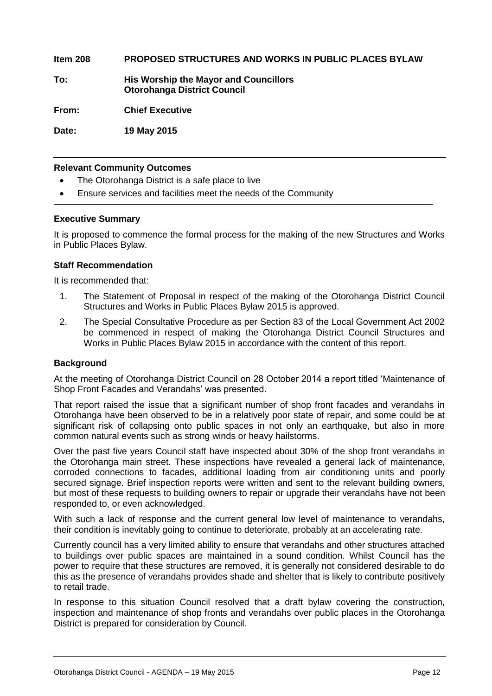**Item 208 PROPOSED STRUCTURES AND WORKS IN PUBLIC PLACES BYLAW**

**To: His Worship the Mayor and Councillors Otorohanga District Council**

**From: Chief Executive**

**Date: 19 May 2015**

#### **Relevant Community Outcomes**

- The Otorohanga District is a safe place to live
- Ensure services and facilities meet the needs of the Community

#### **Executive Summary**

It is proposed to commence the formal process for the making of the new Structures and Works in Public Places Bylaw.

#### **Staff Recommendation**

It is recommended that:

- 1. The Statement of Proposal in respect of the making of the Otorohanga District Council Structures and Works in Public Places Bylaw 2015 is approved.
- 2. The Special Consultative Procedure as per Section 83 of the Local Government Act 2002 be commenced in respect of making the Otorohanga District Council Structures and Works in Public Places Bylaw 2015 in accordance with the content of this report.

#### **Background**

At the meeting of Otorohanga District Council on 28 October 2014 a report titled 'Maintenance of Shop Front Facades and Verandahs' was presented.

That report raised the issue that a significant number of shop front facades and verandahs in Otorohanga have been observed to be in a relatively poor state of repair, and some could be at significant risk of collapsing onto public spaces in not only an earthquake, but also in more common natural events such as strong winds or heavy hailstorms.

Over the past five years Council staff have inspected about 30% of the shop front verandahs in the Otorohanga main street. These inspections have revealed a general lack of maintenance, corroded connections to facades, additional loading from air conditioning units and poorly secured signage. Brief inspection reports were written and sent to the relevant building owners, but most of these requests to building owners to repair or upgrade their verandahs have not been responded to, or even acknowledged.

With such a lack of response and the current general low level of maintenance to verandahs, their condition is inevitably going to continue to deteriorate, probably at an accelerating rate.

Currently council has a very limited ability to ensure that verandahs and other structures attached to buildings over public spaces are maintained in a sound condition. Whilst Council has the power to require that these structures are removed, it is generally not considered desirable to do this as the presence of verandahs provides shade and shelter that is likely to contribute positively to retail trade.

In response to this situation Council resolved that a draft bylaw covering the construction, inspection and maintenance of shop fronts and verandahs over public places in the Otorohanga District is prepared for consideration by Council.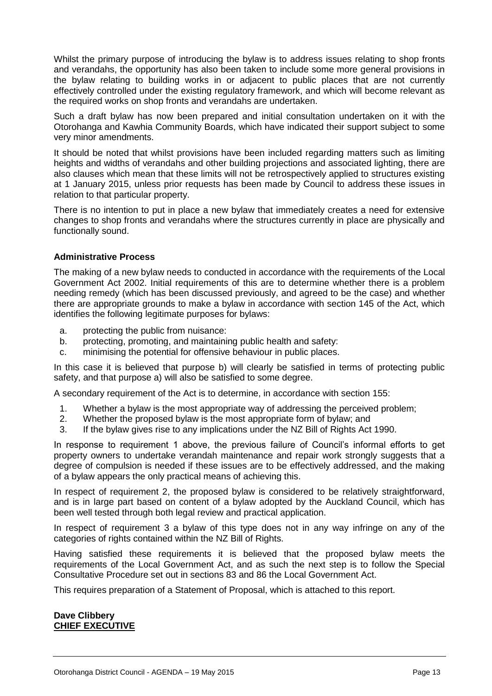Whilst the primary purpose of introducing the bylaw is to address issues relating to shop fronts and verandahs, the opportunity has also been taken to include some more general provisions in the bylaw relating to building works in or adjacent to public places that are not currently effectively controlled under the existing regulatory framework, and which will become relevant as the required works on shop fronts and verandahs are undertaken.

Such a draft bylaw has now been prepared and initial consultation undertaken on it with the Otorohanga and Kawhia Community Boards, which have indicated their support subject to some very minor amendments.

It should be noted that whilst provisions have been included regarding matters such as limiting heights and widths of verandahs and other building projections and associated lighting, there are also clauses which mean that these limits will not be retrospectively applied to structures existing at 1 January 2015, unless prior requests has been made by Council to address these issues in relation to that particular property.

There is no intention to put in place a new bylaw that immediately creates a need for extensive changes to shop fronts and verandahs where the structures currently in place are physically and functionally sound.

#### **Administrative Process**

The making of a new bylaw needs to conducted in accordance with the requirements of the Local Government Act 2002. Initial requirements of this are to determine whether there is a problem needing remedy (which has been discussed previously, and agreed to be the case) and whether there are appropriate grounds to make a bylaw in accordance with section 145 of the Act, which identifies the following legitimate purposes for bylaws:

- a. protecting the public from nuisance:
- b. protecting, promoting, and maintaining public health and safety:
- c. minimising the potential for offensive behaviour in public places.

In this case it is believed that purpose b) will clearly be satisfied in terms of protecting public safety, and that purpose a) will also be satisfied to some degree.

A secondary requirement of the Act is to determine, in accordance with section 155:

- 1. Whether a bylaw is the most appropriate way of addressing the perceived problem;
- 2. Whether the proposed bylaw is the most appropriate form of bylaw; and
- 3. If the bylaw gives rise to any implications under the NZ Bill of Rights Act 1990.

In response to requirement 1 above, the previous failure of Council's informal efforts to get property owners to undertake verandah maintenance and repair work strongly suggests that a degree of compulsion is needed if these issues are to be effectively addressed, and the making of a bylaw appears the only practical means of achieving this.

In respect of requirement 2, the proposed bylaw is considered to be relatively straightforward, and is in large part based on content of a bylaw adopted by the Auckland Council, which has been well tested through both legal review and practical application.

In respect of requirement 3 a bylaw of this type does not in any way infringe on any of the categories of rights contained within the NZ Bill of Rights.

Having satisfied these requirements it is believed that the proposed bylaw meets the requirements of the Local Government Act, and as such the next step is to follow the Special Consultative Procedure set out in sections 83 and 86 the Local Government Act.

This requires preparation of a Statement of Proposal, which is attached to this report.

#### **Dave Clibbery CHIEF EXECUTIVE**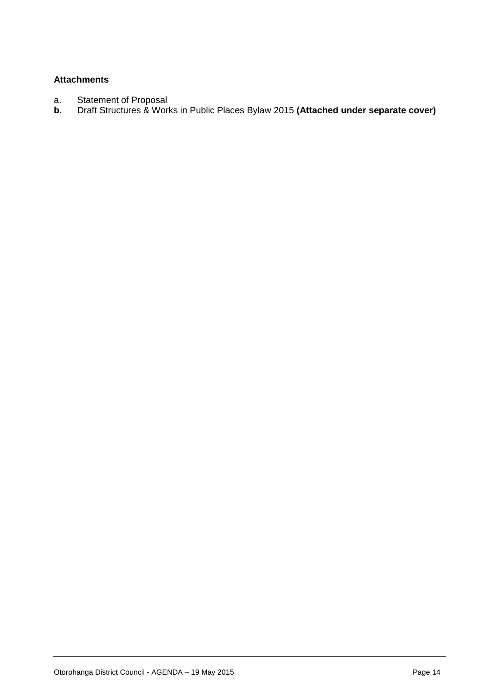#### **Attachments**

- a. Statement of Proposal<br>**b.** Draft Structures & Wor
- **b.** Draft Structures & Works in Public Places Bylaw 2015 **(Attached under separate cover)**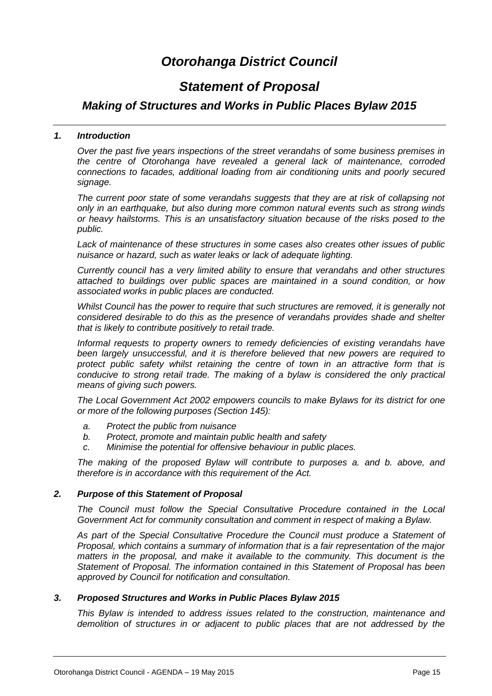# *Otorohanga District Council*

### *Statement of Proposal*

#### *Making of Structures and Works in Public Places Bylaw 2015*

#### *1. Introduction*

*Over the past five years inspections of the street verandahs of some business premises in the centre of Otorohanga have revealed a general lack of maintenance, corroded connections to facades, additional loading from air conditioning units and poorly secured signage.* 

*The current poor state of some verandahs suggests that they are at risk of collapsing not only in an earthquake, but also during more common natural events such as strong winds or heavy hailstorms. This is an unsatisfactory situation because of the risks posed to the public.*

*Lack of maintenance of these structures in some cases also creates other issues of public nuisance or hazard, such as water leaks or lack of adequate lighting.*

*Currently council has a very limited ability to ensure that verandahs and other structures attached to buildings over public spaces are maintained in a sound condition, or how associated works in public places are conducted.*

*Whilst Council has the power to require that such structures are removed, it is generally not considered desirable to do this as the presence of verandahs provides shade and shelter that is likely to contribute positively to retail trade.*

*Informal requests to property owners to remedy deficiencies of existing verandahs have been largely unsuccessful, and it is therefore believed that new powers are required to protect public safety whilst retaining the centre of town in an attractive form that is conducive to strong retail trade. The making of a bylaw is considered the only practical means of giving such powers.*

*The Local Government Act 2002 empowers councils to make Bylaws for its district for one or more of the following purposes (Section 145):*

- *a. Protect the public from nuisance*
- *b. Protect, promote and maintain public health and safety*
- *c. Minimise the potential for offensive behaviour in public places.*

*The making of the proposed Bylaw will contribute to purposes a. and b. above, and therefore is in accordance with this requirement of the Act.*

#### *2. Purpose of this Statement of Proposal*

*The Council must follow the Special Consultative Procedure contained in the Local Government Act for community consultation and comment in respect of making a Bylaw.*

*As part of the Special Consultative Procedure the Council must produce a Statement of Proposal, which contains a summary of information that is a fair representation of the major*  matters in the proposal, and make it available to the community. This document is the *Statement of Proposal. The information contained in this Statement of Proposal has been approved by Council for notification and consultation.*

#### *3. Proposed Structures and Works in Public Places Bylaw 2015*

*This Bylaw is intended to address issues related to the construction, maintenance and demolition of structures in or adjacent to public places that are not addressed by the*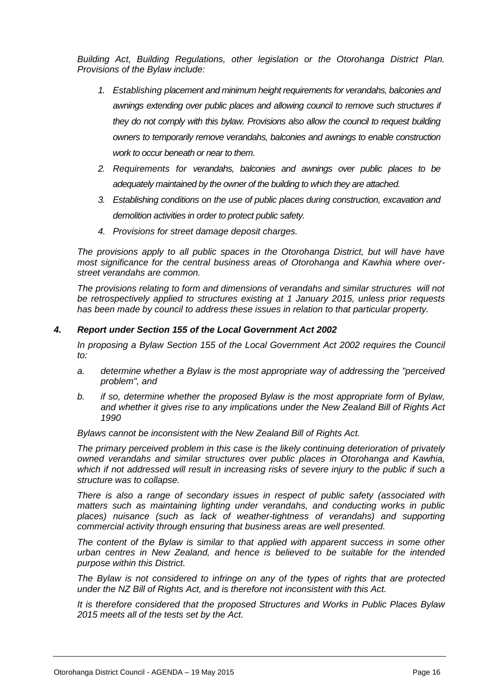*Building Act, Building Regulations, other legislation or the Otorohanga District Plan. Provisions of the Bylaw include:*

- *1. Establishing placement and minimum height requirements for verandahs, balconies and awnings extending over public places and allowing council to remove such structures if they do not comply with this bylaw. Provisions also allow the council to request building owners to temporarily remove verandahs, balconies and awnings to enable construction work to occur beneath or near to them.*
- *2. Requirements for verandahs, balconies and awnings over public places to be adequately maintained by the owner of the building to which they are attached.*
- *3. Establishing conditions on the use of public places during construction, excavation and demolition activities in order to protect public safety.*
- *4. Provisions for street damage deposit charges.*

*The provisions apply to all public spaces in the Otorohanga District, but will have have most significance for the central business areas of Otorohanga and Kawhia where overstreet verandahs are common.*

*The provisions relating to form and dimensions of verandahs and similar structures will not be retrospectively applied to structures existing at 1 January 2015, unless prior requests has been made by council to address these issues in relation to that particular property.*

#### *4. Report under Section 155 of the Local Government Act 2002*

In proposing a Bylaw Section 155 of the Local Government Act 2002 requires the Council *to:*

- *a. determine whether a Bylaw is the most appropriate way of addressing the "perceived problem", and*
- *b. if so, determine whether the proposed Bylaw is the most appropriate form of Bylaw, and whether it gives rise to any implications under the New Zealand Bill of Rights Act 1990*

*Bylaws cannot be inconsistent with the New Zealand Bill of Rights Act.*

*The primary perceived problem in this case is the likely continuing deterioration of privately owned verandahs and similar structures over public places in Otorohanga and Kawhia, which if not addressed will result in increasing risks of severe injury to the public if such a structure was to collapse.*

*There is also a range of secondary issues in respect of public safety (associated with matters such as maintaining lighting under verandahs, and conducting works in public*  places) nuisance (such as lack of weather-tightness of verandahs) and supporting *commercial activity through ensuring that business areas are well presented.*

*The content of the Bylaw is similar to that applied with apparent success in some other urban centres in New Zealand, and hence is believed to be suitable for the intended purpose within this District.*

*The Bylaw is not considered to infringe on any of the types of rights that are protected under the NZ Bill of Rights Act, and is therefore not inconsistent with this Act.*

*It is therefore considered that the proposed Structures and Works in Public Places Bylaw 2015 meets all of the tests set by the Act.*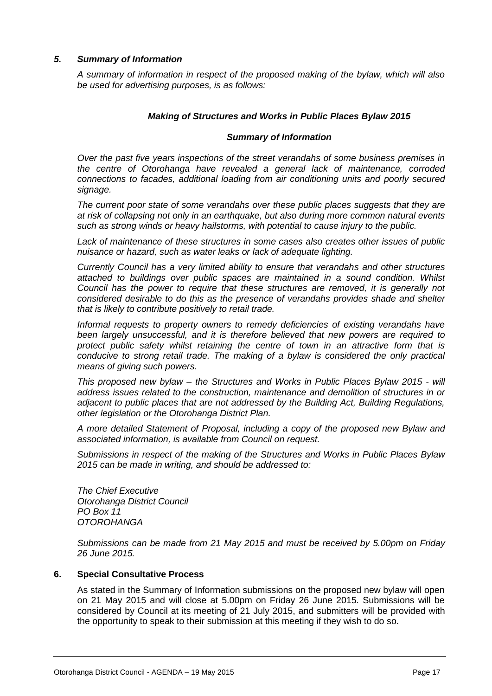#### *5. Summary of Information*

*A summary of information in respect of the proposed making of the bylaw, which will also be used for advertising purposes, is as follows:*

#### *Making of Structures and Works in Public Places Bylaw 2015*

#### *Summary of Information*

*Over the past five years inspections of the street verandahs of some business premises in the centre of Otorohanga have revealed a general lack of maintenance, corroded connections to facades, additional loading from air conditioning units and poorly secured signage.* 

*The current poor state of some verandahs over these public places suggests that they are at risk of collapsing not only in an earthquake, but also during more common natural events such as strong winds or heavy hailstorms, with potential to cause injury to the public.*

*Lack of maintenance of these structures in some cases also creates other issues of public nuisance or hazard, such as water leaks or lack of adequate lighting.*

*Currently Council has a very limited ability to ensure that verandahs and other structures attached to buildings over public spaces are maintained in a sound condition. Whilst Council has the power to require that these structures are removed, it is generally not considered desirable to do this as the presence of verandahs provides shade and shelter that is likely to contribute positively to retail trade.*

*Informal requests to property owners to remedy deficiencies of existing verandahs have been largely unsuccessful, and it is therefore believed that new powers are required to protect public safety whilst retaining the centre of town in an attractive form that is conducive to strong retail trade. The making of a bylaw is considered the only practical means of giving such powers.*

*This proposed new bylaw – the Structures and Works in Public Places Bylaw 2015 - will address issues related to the construction, maintenance and demolition of structures in or adjacent to public places that are not addressed by the Building Act, Building Regulations, other legislation or the Otorohanga District Plan.*

*A more detailed Statement of Proposal, including a copy of the proposed new Bylaw and associated information, is available from Council on request.*

*Submissions in respect of the making of the Structures and Works in Public Places Bylaw 2015 can be made in writing, and should be addressed to:*

*The Chief Executive Otorohanga District Council PO Box 11 OTOROHANGA*

*Submissions can be made from 21 May 2015 and must be received by 5.00pm on Friday 26 June 2015.*

#### **6. Special Consultative Process**

As stated in the Summary of Information submissions on the proposed new bylaw will open on 21 May 2015 and will close at 5.00pm on Friday 26 June 2015. Submissions will be considered by Council at its meeting of 21 July 2015, and submitters will be provided with the opportunity to speak to their submission at this meeting if they wish to do so.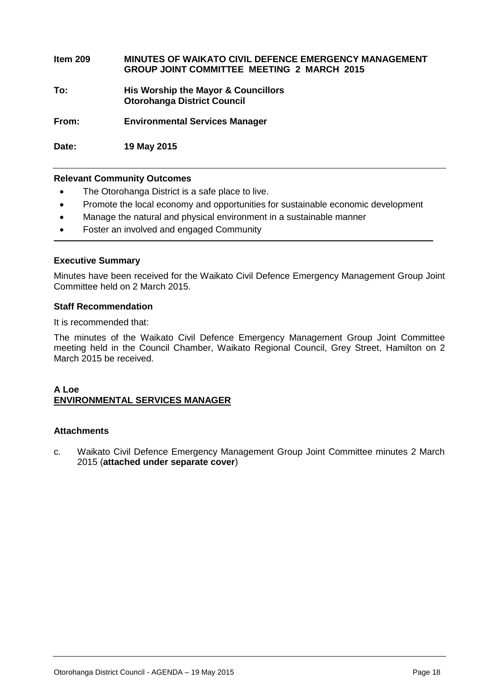**Item 209 MINUTES OF WAIKATO CIVIL DEFENCE EMERGENCY MANAGEMENT GROUP JOINT COMMITTEE MEETING 2 MARCH 2015 To: His Worship the Mayor & Councillors Otorohanga District Council From: Environmental Services Manager**

**Date: 19 May 2015**

#### **Relevant Community Outcomes**

- The Otorohanga District is a safe place to live.
- Promote the local economy and opportunities for sustainable economic development
- Manage the natural and physical environment in a sustainable manner
- Foster an involved and engaged Community

#### **Executive Summary**

Minutes have been received for the Waikato Civil Defence Emergency Management Group Joint Committee held on 2 March 2015.

#### **Staff Recommendation**

It is recommended that:

The minutes of the Waikato Civil Defence Emergency Management Group Joint Committee meeting held in the Council Chamber, Waikato Regional Council, Grey Street, Hamilton on 2 March 2015 be received.

#### **A Loe ENVIRONMENTAL SERVICES MANAGER**

#### **Attachments**

c. Waikato Civil Defence Emergency Management Group Joint Committee minutes 2 March 2015 (**attached under separate cover**)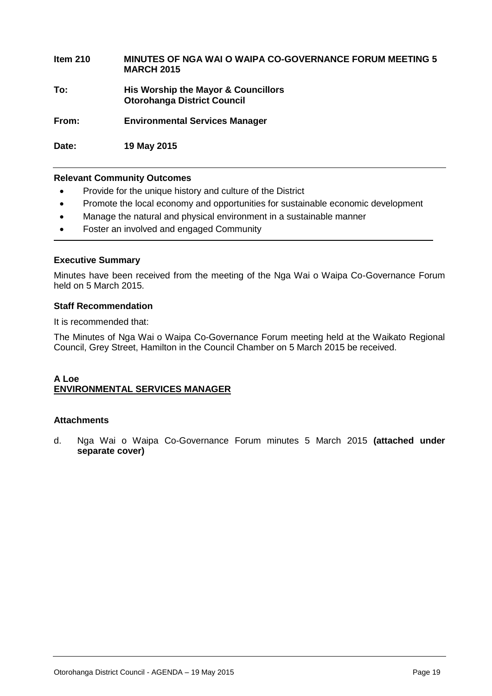#### **Item 210 MINUTES OF NGA WAI O WAIPA CO-GOVERNANCE FORUM MEETING 5 MARCH 2015**

**To: His Worship the Mayor & Councillors Otorohanga District Council**

**From: Environmental Services Manager**

**Date: 19 May 2015**

#### **Relevant Community Outcomes**

- Provide for the unique history and culture of the District
- Promote the local economy and opportunities for sustainable economic development
- Manage the natural and physical environment in a sustainable manner
- Foster an involved and engaged Community

#### **Executive Summary**

Minutes have been received from the meeting of the Nga Wai o Waipa Co-Governance Forum held on 5 March 2015.

#### **Staff Recommendation**

It is recommended that:

The Minutes of Nga Wai o Waipa Co-Governance Forum meeting held at the Waikato Regional Council, Grey Street, Hamilton in the Council Chamber on 5 March 2015 be received.

#### **A Loe ENVIRONMENTAL SERVICES MANAGER**

#### **Attachments**

d. Nga Wai o Waipa Co-Governance Forum minutes 5 March 2015 **(attached under separate cover)**